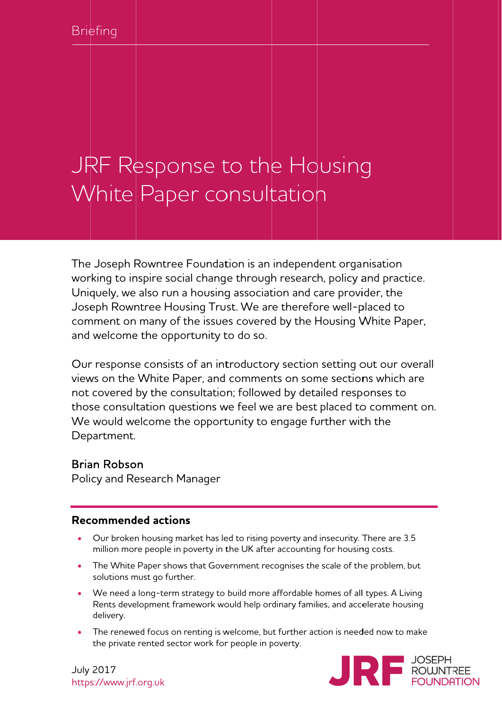# JRF Response to the Housing White Paper consultation

The Joseph Rowntree Foundation is an independent organisation working to inspire social change through research, policy and practice. Uniquely, we also run a housing association and care provider, the Joseph Rowntree Housing Trust. We are therefore well-placed to comment on many of the issues covered by the Housing White Paper, and welcome the opportunity to do so.

Our response consists of an introductory section setting out our overall views on the White Paper, and comments on some sections which are not covered by the consultation; followed by detailed responses to those consultation questions we feel we are best placed to comment on. We would welcome the opportunity to engage further with the Department.

#### Brian Robson

Poli cy and Re esearch M Manager

#### **Recommended actions**

- $\bullet$ Our broken housing market has led to rising poverty and insecurity. There are 3.5 million more people in poverty in the UK after accounting for housing costs.
- $\bullet$ The White Paper shows that Government recognises the scale of the problem, but solutions m must go furth her.
- $\bullet$ We need a long-term strategy to build more affordable homes of all types. A Living Rents development framework would help ordinary families, and accelerate housing delivery.
- $\bullet$ The renewed focus on renting is welcome, but further action is needed now to make the private rented sector work for people in poverty.



July 2017 https s://www.jrf f.org.uk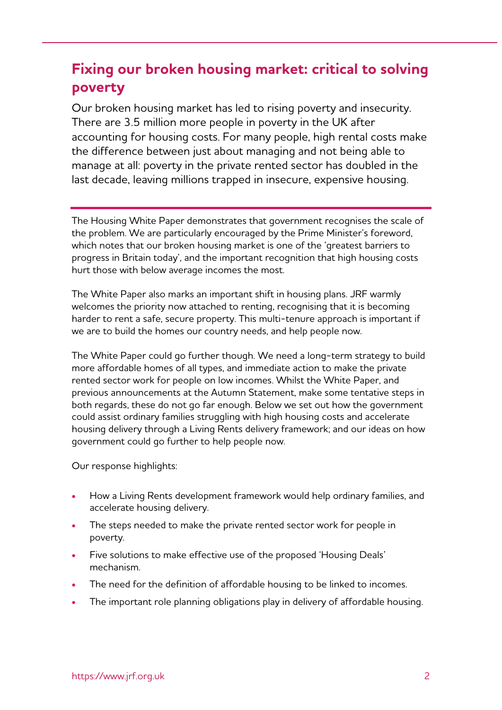# **Fixing our broken housing market: critical to solving poverty**

Our broken housing market has led to rising poverty and insecurity. There are 3.5 million more people in poverty in the UK after accounting for housing costs. For many people, high rental costs make the difference between just about managing and not being able to manage at all: poverty in the private rented sector has doubled in the last decade, leaving millions trapped in insecure, expensive housing.

The Housing White Paper demonstrates that government recognises the scale of the problem. We are particularly encouraged by the Prime Minister's foreword, which notes that our broken housing market is one of the 'greatest barriers to progress in Britain today', and the important recognition that high housing costs hurt those with below average incomes the most.

The White Paper also marks an important shift in housing plans. JRF warmly welcomes the priority now attached to renting, recognising that it is becoming harder to rent a safe, secure property. This multi-tenure approach is important if we are to build the homes our country needs, and help people now.

The White Paper could go further though. We need a long-term strategy to build more affordable homes of all types, and immediate action to make the private rented sector work for people on low incomes. Whilst the White Paper, and previous announcements at the Autumn Statement, make some tentative steps in both regards, these do not go far enough. Below we set out how the government could assist ordinary families struggling with high housing costs and accelerate housing delivery through a Living Rents delivery framework; and our ideas on how government could go further to help people now.

Our response highlights:

- How a Living Rents development framework would help ordinary families, and accelerate housing delivery.
- The steps needed to make the private rented sector work for people in poverty.
- Five solutions to make effective use of the proposed 'Housing Deals' mechanism.
- The need for the definition of affordable housing to be linked to incomes.
- The important role planning obligations play in delivery of affordable housing.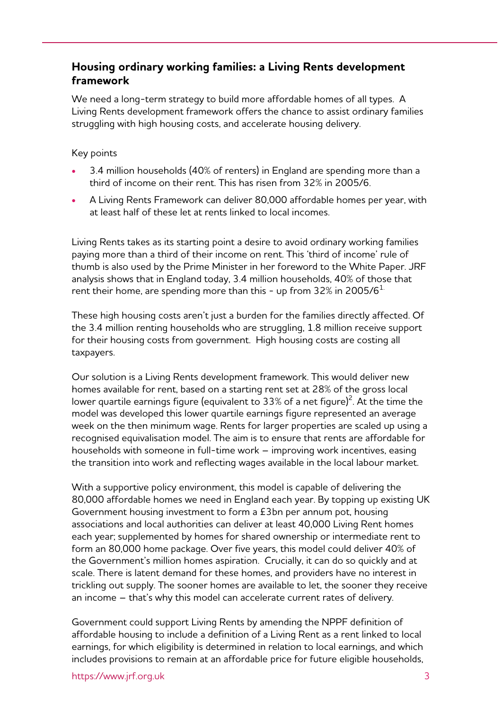#### **Housing ordinary working families: a Living Rents development framework**

We need a long-term strategy to build more affordable homes of all types. A Living Rents development framework offers the chance to assist ordinary families struggling with high housing costs, and accelerate housing delivery.

#### Key points

- 3.4 million households (40% of renters) in England are spending more than a third of income on their rent. This has risen from 32% in 2005/6.
- A Living Rents Framework can deliver 80,000 affordable homes per year, with at least half of these let at rents linked to local incomes.

Living Rents takes as its starting point a desire to avoid ordinary working families paying more than a third of their income on rent. This 'third of income' rule of thumb is also used by the Prime Minister in her foreword to the White Paper. JRF analysis shows that in England today, 3.4 million households, 40% of those that rent their home, are spending more than this - up from 32% in 2005/6 $^{\rm 1.}$ 

These high housing costs aren't just a burden for the families directly affected. Of the 3.4 million renting households who are struggling, 1.8 million receive support for their housing costs from government. High housing costs are costing all taxpayers.

Our solution is a Living Rents development framework. This would deliver new homes available for rent, based on a starting rent set at 28% of the gross local lower quartile earnings figure (equivalent to 33% of a net figure) $^2$ . At the time the model was developed this lower quartile earnings figure represented an average week on the then minimum wage. Rents for larger properties are scaled up using a recognised equivalisation model. The aim is to ensure that rents are affordable for households with someone in full-time work – improving work incentives, easing the transition into work and reflecting wages available in the local labour market.

With a supportive policy environment, this model is capable of delivering the 80,000 affordable homes we need in England each year. By topping up existing UK Government housing investment to form a £3bn per annum pot, housing associations and local authorities can deliver at least 40,000 Living Rent homes each year; supplemented by homes for shared ownership or intermediate rent to form an 80,000 home package. Over five years, this model could deliver 40% of the Government's million homes aspiration. Crucially, it can do so quickly and at scale. There is latent demand for these homes, and providers have no interest in trickling out supply. The sooner homes are available to let, the sooner they receive an income – that's why this model can accelerate current rates of delivery.

Government could support Living Rents by amending the NPPF definition of affordable housing to include a definition of a Living Rent as a rent linked to local earnings, for which eligibility is determined in relation to local earnings, and which includes provisions to remain at an affordable price for future eligible households,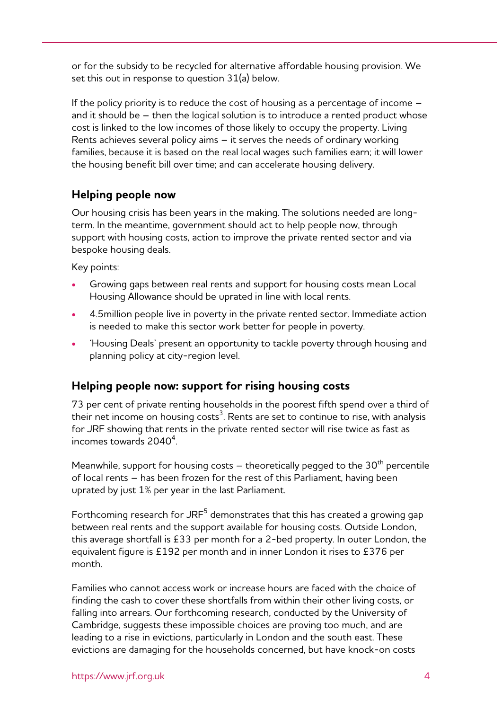or for the subsidy to be recycled for alternative affordable housing provision. We set this out in response to question 31(a) below.

If the policy priority is to reduce the cost of housing as a percentage of income – and it should be – then the logical solution is to introduce a rented product whose cost is linked to the low incomes of those likely to occupy the property. Living Rents achieves several policy aims – it serves the needs of ordinary working families, because it is based on the real local wages such families earn; it will lower the housing benefit bill over time; and can accelerate housing delivery.

#### **Helping people now**

Our housing crisis has been years in the making. The solutions needed are longterm. In the meantime, government should act to help people now, through support with housing costs, action to improve the private rented sector and via bespoke housing deals.

Key points:

- Growing gaps between real rents and support for housing costs mean Local Housing Allowance should be uprated in line with local rents.
- 4.5million people live in poverty in the private rented sector. Immediate action is needed to make this sector work better for people in poverty.
- 'Housing Deals' present an opportunity to tackle poverty through housing and planning policy at city-region level.

#### **Helping people now: support for rising housing costs**

73 per cent of private renting households in the poorest fifth spend over a third of their net income on housing costs $^3$ . Rents are set to continue to rise, with analysis for JRF showing that rents in the private rented sector will rise twice as fast as incomes towards  $2040^4$ .

Meanwhile, support for housing costs  $-$  theoretically pegged to the 30<sup>th</sup> percentile of local rents – has been frozen for the rest of this Parliament, having been uprated by just 1% per year in the last Parliament.

Forthcoming research for JRF $^5$  demonstrates that this has created a growing gap between real rents and the support available for housing costs. Outside London, this average shortfall is £33 per month for a 2-bed property. In outer London, the equivalent figure is £192 per month and in inner London it rises to £376 per month.

Families who cannot access work or increase hours are faced with the choice of finding the cash to cover these shortfalls from within their other living costs, or falling into arrears. Our forthcoming research, conducted by the University of Cambridge, suggests these impossible choices are proving too much, and are leading to a rise in evictions, particularly in London and the south east. These evictions are damaging for the households concerned, but have knock-on costs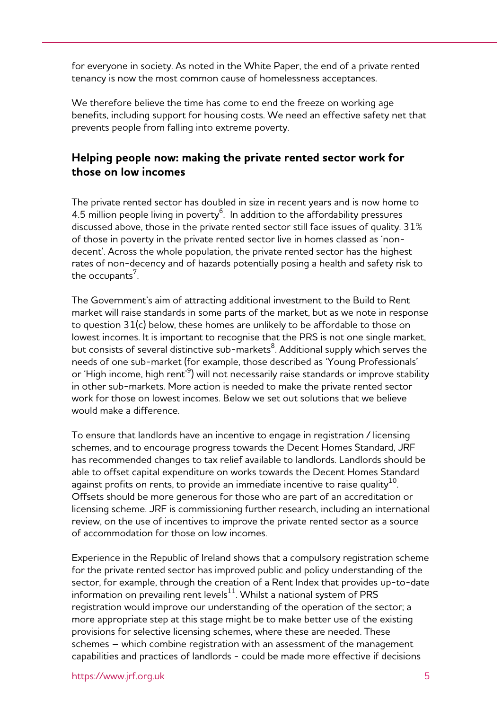for everyone in society. As noted in the White Paper, the end of a private rented tenancy is now the most common cause of homelessness acceptances.

We therefore believe the time has come to end the freeze on working age benefits, including support for housing costs. We need an effective safety net that prevents people from falling into extreme poverty.

#### **Helping people now: making the private rented sector work for those on low incomes**

The private rented sector has doubled in size in recent years and is now home to 4.5 million people living in poverty $^6$ . In addition to the affordability pressures discussed above, those in the private rented sector still face issues of quality. 31% of those in poverty in the private rented sector live in homes classed as 'nondecent'. Across the whole population, the private rented sector has the highest rates of non-decency and of hazards potentially posing a health and safety risk to the occupants $^7$ .

The Government's aim of attracting additional investment to the Build to Rent market will raise standards in some parts of the market, but as we note in response to question 31(c) below, these homes are unlikely to be affordable to those on lowest incomes. It is important to recognise that the PRS is not one single market, but consists of several distinctive sub-markets $^8$ . Additional supply which serves the needs of one sub-market (for example, those described as 'Young Professionals' or 'High income, high rent'<sup>9</sup>) will not necessarily raise standards or improve stability in other sub-markets. More action is needed to make the private rented sector work for those on lowest incomes. Below we set out solutions that we believe would make a difference.

To ensure that landlords have an incentive to engage in registration / licensing schemes, and to encourage progress towards the Decent Homes Standard, JRF has recommended changes to tax relief available to landlords. Landlords should be able to offset capital expenditure on works towards the Decent Homes Standard against profits on rents, to provide an immediate incentive to raise quality $^{10}$ . Offsets should be more generous for those who are part of an accreditation or licensing scheme. JRF is commissioning further research, including an international review, on the use of incentives to improve the private rented sector as a source of accommodation for those on low incomes.

Experience in the Republic of Ireland shows that a compulsory registration scheme for the private rented sector has improved public and policy understanding of the sector, for example, through the creation of a Rent Index that provides up-to-date information on prevailing rent levels $^{11}$ . Whilst a national system of PRS registration would improve our understanding of the operation of the sector; a more appropriate step at this stage might be to make better use of the existing provisions for selective licensing schemes, where these are needed. These schemes – which combine registration with an assessment of the management capabilities and practices of landlords - could be made more effective if decisions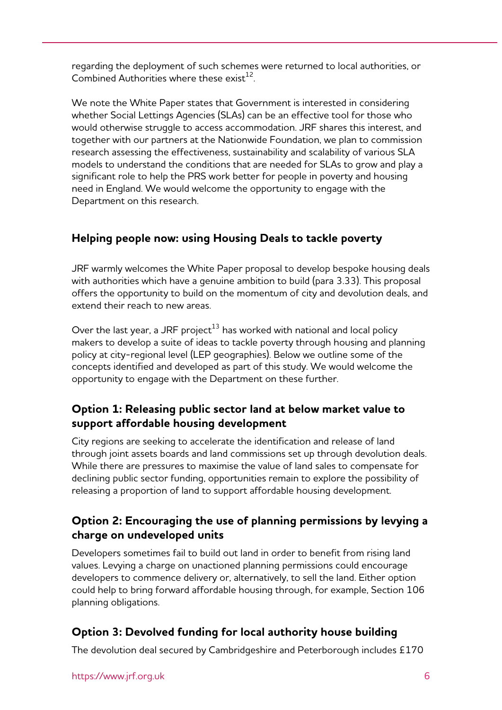regarding the deployment of such schemes were returned to local authorities, or Combined Authorities where these exist<sup>12</sup>

We note the White Paper states that Government is interested in considering whether Social Lettings Agencies (SLAs) can be an effective tool for those who would otherwise struggle to access accommodation. JRF shares this interest, and together with our partners at the Nationwide Foundation, we plan to commission research assessing the effectiveness, sustainability and scalability of various SLA models to understand the conditions that are needed for SLAs to grow and play a significant role to help the PRS work better for people in poverty and housing need in England. We would welcome the opportunity to engage with the Department on this research.

### **Helping people now: using Housing Deals to tackle poverty**

JRF warmly welcomes the White Paper proposal to develop bespoke housing deals with authorities which have a genuine ambition to build (para 3.33). This proposal offers the opportunity to build on the momentum of city and devolution deals, and extend their reach to new areas.

Over the last year, a JRF project $^{13}$  has worked with national and local policy makers to develop a suite of ideas to tackle poverty through housing and planning policy at city-regional level (LEP geographies). Below we outline some of the concepts identified and developed as part of this study. We would welcome the opportunity to engage with the Department on these further.

#### **Option 1: Releasing public sector land at below market value to support affordable housing development**

City regions are seeking to accelerate the identification and release of land through joint assets boards and land commissions set up through devolution deals. While there are pressures to maximise the value of land sales to compensate for declining public sector funding, opportunities remain to explore the possibility of releasing a proportion of land to support affordable housing development.

#### **Option 2: Encouraging the use of planning permissions by levying a charge on undeveloped units**

Developers sometimes fail to build out land in order to benefit from rising land values. Levying a charge on unactioned planning permissions could encourage developers to commence delivery or, alternatively, to sell the land. Either option could help to bring forward affordable housing through, for example, Section 106 planning obligations.

### **Option 3: Devolved funding for local authority house building**

The devolution deal secured by Cambridgeshire and Peterborough includes £170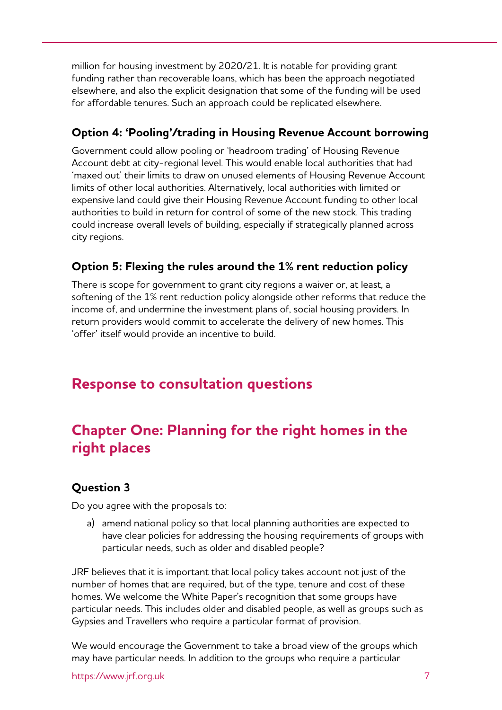million for housing investment by 2020/21. It is notable for providing grant funding rather than recoverable loans, which has been the approach negotiated elsewhere, and also the explicit designation that some of the funding will be used for affordable tenures. Such an approach could be replicated elsewhere.

#### **Option 4: 'Pooling'/trading in Housing Revenue Account borrowing**

Government could allow pooling or 'headroom trading' of Housing Revenue Account debt at city-regional level. This would enable local authorities that had 'maxed out' their limits to draw on unused elements of Housing Revenue Account limits of other local authorities. Alternatively, local authorities with limited or expensive land could give their Housing Revenue Account funding to other local authorities to build in return for control of some of the new stock. This trading could increase overall levels of building, especially if strategically planned across city regions.

#### **Option 5: Flexing the rules around the 1% rent reduction policy**

There is scope for government to grant city regions a waiver or, at least, a softening of the 1% rent reduction policy alongside other reforms that reduce the income of, and undermine the investment plans of, social housing providers. In return providers would commit to accelerate the delivery of new homes. This 'offer' itself would provide an incentive to build.

## **Response to consultation questions**

# **Chapter One: Planning for the right homes in the right places**

#### **Question 3**

Do you agree with the proposals to:

a) amend national policy so that local planning authorities are expected to have clear policies for addressing the housing requirements of groups with particular needs, such as older and disabled people?

JRF believes that it is important that local policy takes account not just of the number of homes that are required, but of the type, tenure and cost of these homes. We welcome the White Paper's recognition that some groups have particular needs. This includes older and disabled people, as well as groups such as Gypsies and Travellers who require a particular format of provision.

We would encourage the Government to take a broad view of the groups which may have particular needs. In addition to the groups who require a particular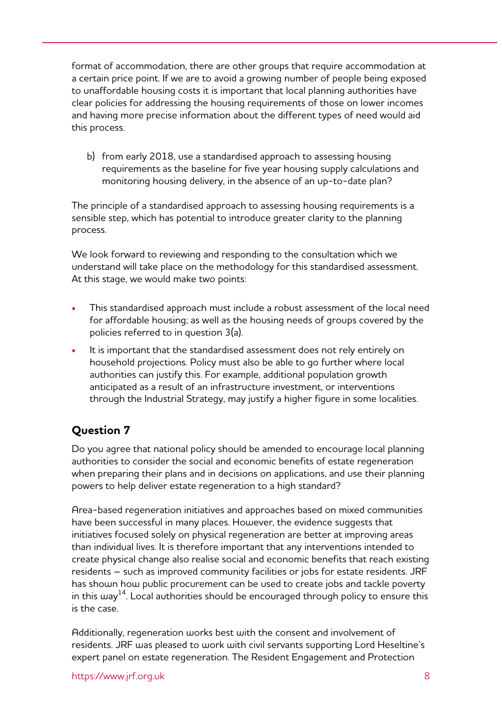format of accommodation, there are other groups that require accommodation at a certain price point. If we are to avoid a growing number of people being exposed to unaffordable housing costs it is important that local planning authorities have clear policies for addressing the housing requirements of those on lower incomes and having more precise information about the different types of need would aid this process.

b) from early 2018, use a standardised approach to assessing housing requirements as the baseline for five year housing supply calculations and monitoring housing delivery, in the absence of an up-to-date plan?

The principle of a standardised approach to assessing housing requirements is a sensible step, which has potential to introduce greater clarity to the planning process.

We look forward to reviewing and responding to the consultation which we understand will take place on the methodology for this standardised assessment. At this stage, we would make two points:

- This standardised approach must include a robust assessment of the local need for affordable housing; as well as the housing needs of groups covered by the policies referred to in question 3(a).
- It is important that the standardised assessment does not rely entirely on household projections. Policy must also be able to go further where local authorities can justify this. For example, additional population growth anticipated as a result of an infrastructure investment, or interventions through the Industrial Strategy, may justify a higher figure in some localities.

### **Question 7**

Do you agree that national policy should be amended to encourage local planning authorities to consider the social and economic benefits of estate regeneration when preparing their plans and in decisions on applications, and use their planning powers to help deliver estate regeneration to a high standard?

Area-based regeneration initiatives and approaches based on mixed communities have been successful in many places. However, the evidence suggests that initiatives focused solely on physical regeneration are better at improving areas than individual lives. It is therefore important that any interventions intended to create physical change also realise social and economic benefits that reach existing residents – such as improved community facilities or jobs for estate residents. JRF has shown how public procurement can be used to create jobs and tackle poverty in this way<sup>14</sup>. Local authorities should be encouraged through policy to ensure this is the case.

Additionally, regeneration works best with the consent and involvement of residents. JRF was pleased to work with civil servants supporting Lord Heseltine's expert panel on estate regeneration. The Resident Engagement and Protection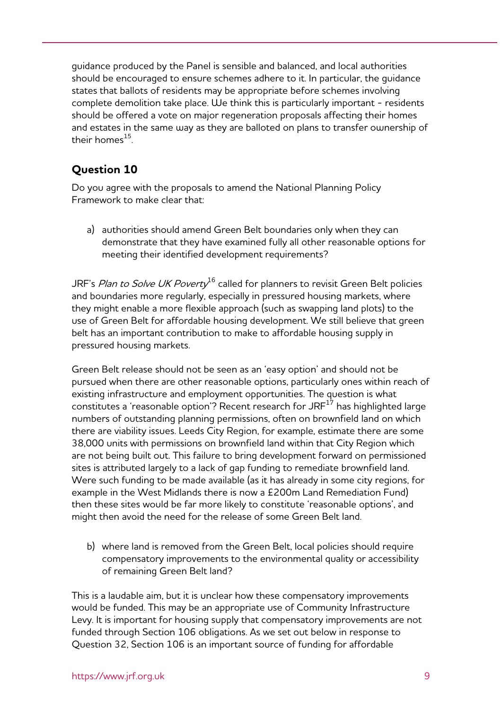guidance produced by the Panel is sensible and balanced, and local authorities should be encouraged to ensure schemes adhere to it. In particular, the guidance states that ballots of residents may be appropriate before schemes involving complete demolition take place. We think this is particularly important - residents should be offered a vote on major regeneration proposals affecting their homes and estates in the same way as they are balloted on plans to transfer ownership of their homes $^{15}$ 

## **Question 10**

Do you agree with the proposals to amend the National Planning Policy Framework to make clear that:

a) authorities should amend Green Belt boundaries only when they can demonstrate that they have examined fully all other reasonable options for meeting their identified development requirements?

JRF's Plan to Solve UK Poverty<sup>16</sup> called for planners to revisit Green Belt policies and boundaries more regularly, especially in pressured housing markets, where they might enable a more flexible approach (such as swapping land plots) to the use of Green Belt for affordable housing development. We still believe that green belt has an important contribution to make to affordable housing supply in pressured housing markets.

Green Belt release should not be seen as an 'easy option' and should not be pursued when there are other reasonable options, particularly ones within reach of existing infrastructure and employment opportunities. The question is what constitutes a 'reasonable option'? Recent research for JRF $^{17}$  has highlighted large numbers of outstanding planning permissions, often on brownfield land on which there are viability issues. Leeds City Region, for example, estimate there are some 38,000 units with permissions on brownfield land within that City Region which are not being built out. This failure to bring development forward on permissioned sites is attributed largely to a lack of gap funding to remediate brownfield land. Were such funding to be made available (as it has already in some city regions, for example in the West Midlands there is now a £200m Land Remediation Fund) then these sites would be far more likely to constitute 'reasonable options', and might then avoid the need for the release of some Green Belt land.

b) where land is removed from the Green Belt, local policies should require compensatory improvements to the environmental quality or accessibility of remaining Green Belt land?

This is a laudable aim, but it is unclear how these compensatory improvements would be funded. This may be an appropriate use of Community Infrastructure Levy. It is important for housing supply that compensatory improvements are not funded through Section 106 obligations. As we set out below in response to Question 32, Section 106 is an important source of funding for affordable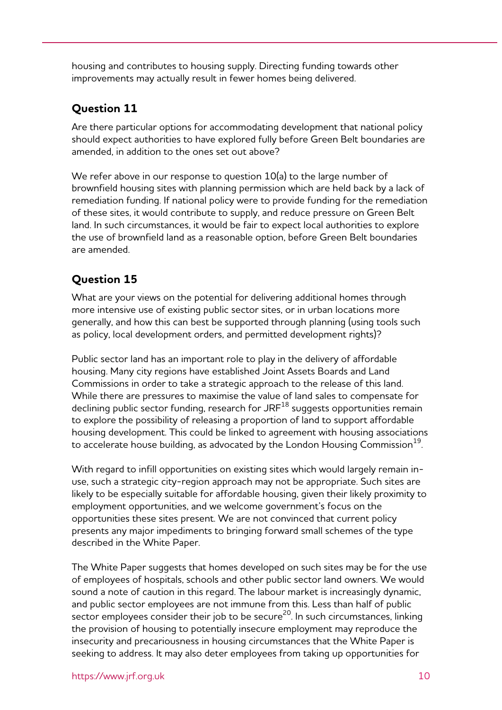housing and contributes to housing supply. Directing funding towards other improvements may actually result in fewer homes being delivered.

#### **Question 11**

Are there particular options for accommodating development that national policy should expect authorities to have explored fully before Green Belt boundaries are amended, in addition to the ones set out above?

We refer above in our response to question 10(a) to the large number of brownfield housing sites with planning permission which are held back by a lack of remediation funding. If national policy were to provide funding for the remediation of these sites, it would contribute to supply, and reduce pressure on Green Belt land. In such circumstances, it would be fair to expect local authorities to explore the use of brownfield land as a reasonable option, before Green Belt boundaries are amended.

## **Question 15**

What are your views on the potential for delivering additional homes through more intensive use of existing public sector sites, or in urban locations more generally, and how this can best be supported through planning (using tools such as policy, local development orders, and permitted development rights)?

Public sector land has an important role to play in the delivery of affordable housing. Many city regions have established Joint Assets Boards and Land Commissions in order to take a strategic approach to the release of this land. While there are pressures to maximise the value of land sales to compensate for declining public sector funding, research for JRF<sup>18</sup> suggests opportunities remain to explore the possibility of releasing a proportion of land to support affordable housing development. This could be linked to agreement with housing associations to accelerate house building, as advocated by the London Housing Commission $^{19}$ .

With regard to infill opportunities on existing sites which would largely remain inuse, such a strategic city-region approach may not be appropriate. Such sites are likely to be especially suitable for affordable housing, given their likely proximity to employment opportunities, and we welcome government's focus on the opportunities these sites present. We are not convinced that current policy presents any major impediments to bringing forward small schemes of the type described in the White Paper.

The White Paper suggests that homes developed on such sites may be for the use of employees of hospitals, schools and other public sector land owners. We would sound a note of caution in this regard. The labour market is increasingly dynamic, and public sector employees are not immune from this. Less than half of public sector employees consider their job to be secure<sup>20</sup>. In such circumstances, linking the provision of housing to potentially insecure employment may reproduce the insecurity and precariousness in housing circumstances that the White Paper is seeking to address. It may also deter employees from taking up opportunities for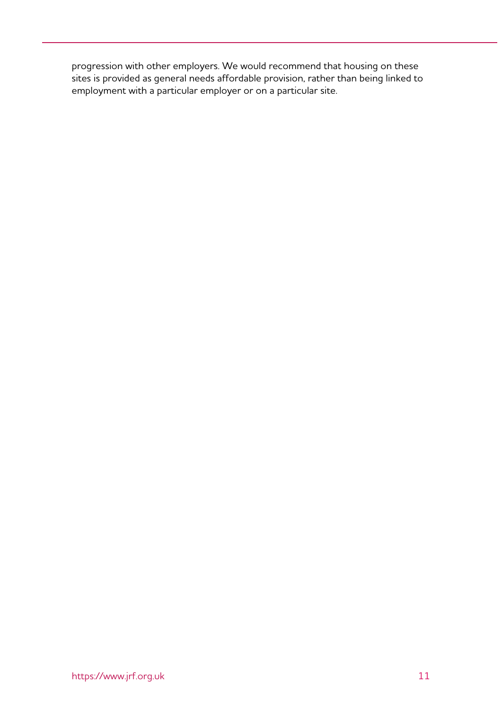progression with other employers. We would recommend that housing on these sites is provided as general needs affordable provision, rather than being linked to employment with a particular employer or on a particular site.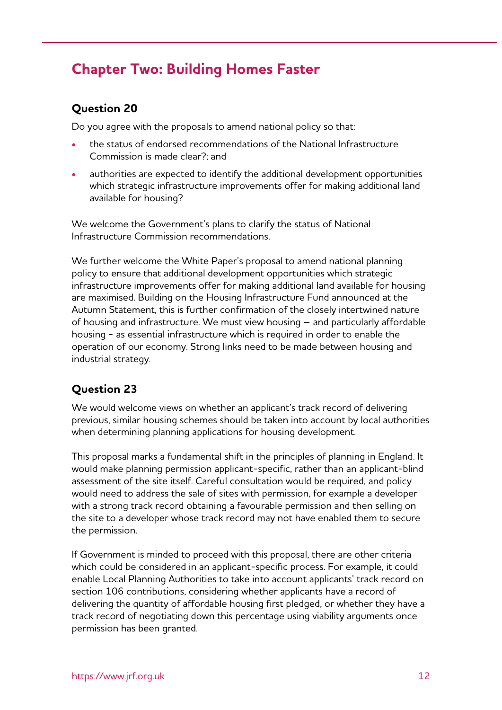# **Chapter Two: Building Homes Faster**

#### **Question 20**

Do you agree with the proposals to amend national policy so that:

- the status of endorsed recommendations of the National Infrastructure Commission is made clear?; and
- authorities are expected to identify the additional development opportunities which strategic infrastructure improvements offer for making additional land available for housing?

We welcome the Government's plans to clarify the status of National Infrastructure Commission recommendations.

We further welcome the White Paper's proposal to amend national planning policy to ensure that additional development opportunities which strategic infrastructure improvements offer for making additional land available for housing are maximised. Building on the Housing Infrastructure Fund announced at the Autumn Statement, this is further confirmation of the closely intertwined nature of housing and infrastructure. We must view housing – and particularly affordable housing - as essential infrastructure which is required in order to enable the operation of our economy. Strong links need to be made between housing and industrial strategy.

### **Question 23**

We would welcome views on whether an applicant's track record of delivering previous, similar housing schemes should be taken into account by local authorities when determining planning applications for housing development.

This proposal marks a fundamental shift in the principles of planning in England. It would make planning permission applicant-specific, rather than an applicant-blind assessment of the site itself. Careful consultation would be required, and policy would need to address the sale of sites with permission, for example a developer with a strong track record obtaining a favourable permission and then selling on the site to a developer whose track record may not have enabled them to secure the permission.

If Government is minded to proceed with this proposal, there are other criteria which could be considered in an applicant-specific process. For example, it could enable Local Planning Authorities to take into account applicants' track record on section 106 contributions, considering whether applicants have a record of delivering the quantity of affordable housing first pledged, or whether they have a track record of negotiating down this percentage using viability arguments once permission has been granted.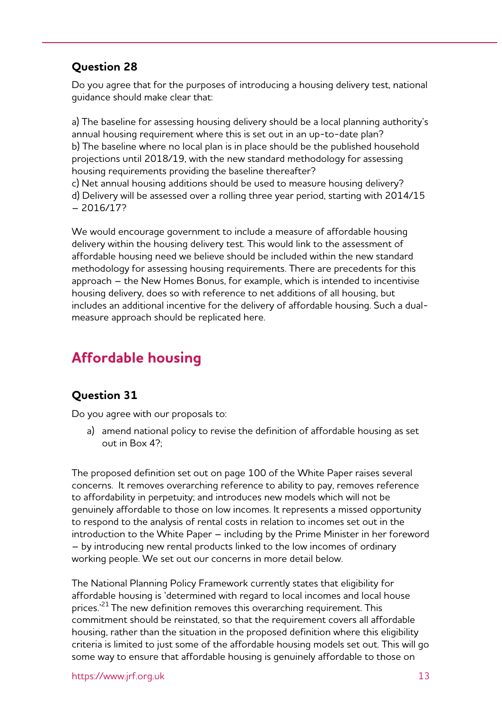#### **Question 28**

Do you agree that for the purposes of introducing a housing delivery test, national guidance should make clear that:

a) The baseline for assessing housing delivery should be a local planning authority's annual housing requirement where this is set out in an up-to-date plan? b) The baseline where no local plan is in place should be the published household projections until 2018/19, with the new standard methodology for assessing housing requirements providing the baseline thereafter? c) Net annual housing additions should be used to measure housing delivery?

d) Delivery will be assessed over a rolling three year period, starting with 2014/15 – 2016/17?

We would encourage government to include a measure of affordable housing delivery within the housing delivery test. This would link to the assessment of affordable housing need we believe should be included within the new standard methodology for assessing housing requirements. There are precedents for this approach – the New Homes Bonus, for example, which is intended to incentivise housing delivery, does so with reference to net additions of all housing, but includes an additional incentive for the delivery of affordable housing. Such a dualmeasure approach should be replicated here.

# **Affordable housing**

### **Question 31**

Do you agree with our proposals to:

a) amend national policy to revise the definition of affordable housing as set out in Box 4?;

The proposed definition set out on page 100 of the White Paper raises several concerns. It removes overarching reference to ability to pay, removes reference to affordability in perpetuity; and introduces new models which will not be genuinely affordable to those on low incomes. It represents a missed opportunity to respond to the analysis of rental costs in relation to incomes set out in the introduction to the White Paper – including by the Prime Minister in her foreword – by introducing new rental products linked to the low incomes of ordinary working people. We set out our concerns in more detail below.

The National Planning Policy Framework currently states that eligibility for affordable housing is 'determined with regard to local incomes and local house prices.<sup>21</sup> The new definition removes this overarching requirement. This commitment should be reinstated, so that the requirement covers all affordable housing, rather than the situation in the proposed definition where this eligibility criteria is limited to just some of the affordable housing models set out. This will go some way to ensure that affordable housing is genuinely affordable to those on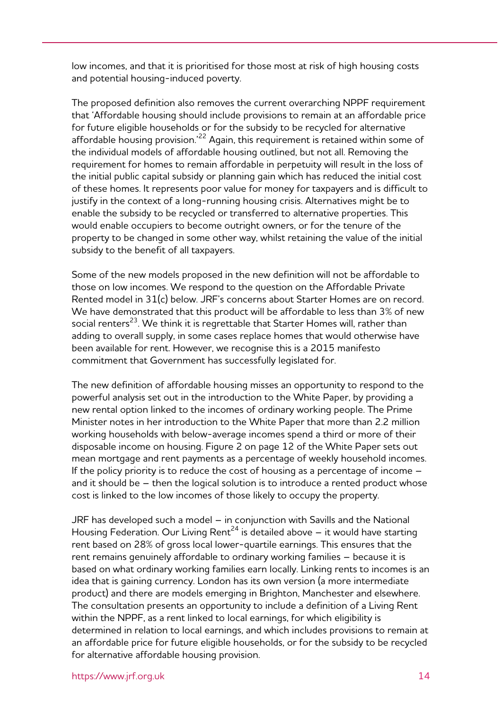low incomes, and that it is prioritised for those most at risk of high housing costs and potential housing-induced poverty.

The proposed definition also removes the current overarching NPPF requirement that 'Affordable housing should include provisions to remain at an affordable price for future eligible households or for the subsidy to be recycled for alternative affordable housing provision.'22 Again, this requirement is retained within some of the individual models of affordable housing outlined, but not all. Removing the requirement for homes to remain affordable in perpetuity will result in the loss of the initial public capital subsidy or planning gain which has reduced the initial cost of these homes. It represents poor value for money for taxpayers and is difficult to justify in the context of a long-running housing crisis. Alternatives might be to enable the subsidy to be recycled or transferred to alternative properties. This would enable occupiers to become outright owners, or for the tenure of the property to be changed in some other way, whilst retaining the value of the initial subsidy to the benefit of all taxpayers.

Some of the new models proposed in the new definition will not be affordable to those on low incomes. We respond to the question on the Affordable Private Rented model in 31(c) below. JRF's concerns about Starter Homes are on record. We have demonstrated that this product will be affordable to less than 3% of new social renters<sup>23</sup>. We think it is regrettable that Starter Homes will, rather than adding to overall supply, in some cases replace homes that would otherwise have been available for rent. However, we recognise this is a 2015 manifesto commitment that Government has successfully legislated for.

The new definition of affordable housing misses an opportunity to respond to the powerful analysis set out in the introduction to the White Paper, by providing a new rental option linked to the incomes of ordinary working people. The Prime Minister notes in her introduction to the White Paper that more than 2.2 million working households with below-average incomes spend a third or more of their disposable income on housing. Figure 2 on page 12 of the White Paper sets out mean mortgage and rent payments as a percentage of weekly household incomes. If the policy priority is to reduce the cost of housing as a percentage of income – and it should be – then the logical solution is to introduce a rented product whose cost is linked to the low incomes of those likely to occupy the property.

JRF has developed such a model – in conjunction with Savills and the National Housing Federation. Our Living Rent<sup>24</sup> is detailed above  $-$  it would have starting rent based on 28% of gross local lower-quartile earnings. This ensures that the rent remains genuinely affordable to ordinary working families – because it is based on what ordinary working families earn locally. Linking rents to incomes is an idea that is gaining currency. London has its own version (a more intermediate product) and there are models emerging in Brighton, Manchester and elsewhere. The consultation presents an opportunity to include a definition of a Living Rent within the NPPF, as a rent linked to local earnings, for which eligibility is determined in relation to local earnings, and which includes provisions to remain at an affordable price for future eligible households, or for the subsidy to be recycled for alternative affordable housing provision.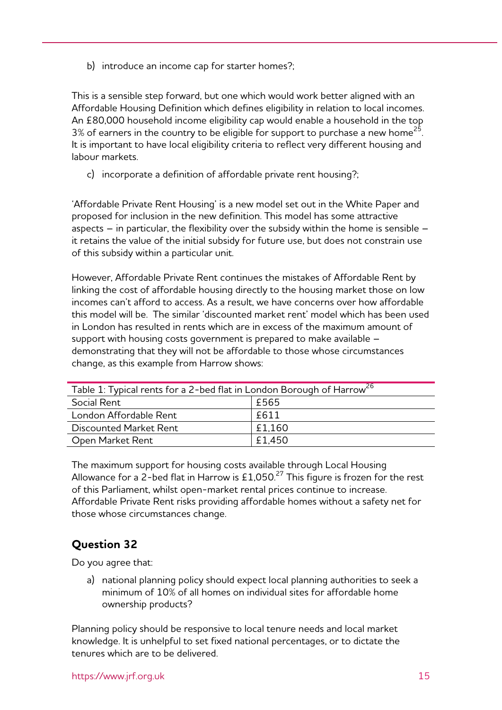b) introduce an income cap for starter homes?;

This is a sensible step forward, but one which would work better aligned with an Affordable Housing Definition which defines eligibility in relation to local incomes. An £80,000 household income eligibility cap would enable a household in the top  $3\%$  of earners in the country to be eligible for support to purchase a new home<sup>25</sup>. It is important to have local eligibility criteria to reflect very different housing and labour markets.

c) incorporate a definition of affordable private rent housing?;

'Affordable Private Rent Housing' is a new model set out in the White Paper and proposed for inclusion in the new definition. This model has some attractive aspects  $-$  in particular, the flexibility over the subsidy within the home is sensible  $$ it retains the value of the initial subsidy for future use, but does not constrain use of this subsidy within a particular unit.

However, Affordable Private Rent continues the mistakes of Affordable Rent by linking the cost of affordable housing directly to the housing market those on low incomes can't afford to access. As a result, we have concerns over how affordable this model will be. The similar 'discounted market rent' model which has been used in London has resulted in rents which are in excess of the maximum amount of support with housing costs government is prepared to make available – demonstrating that they will not be affordable to those whose circumstances change, as this example from Harrow shows:

| Table 1: Typical rents for a 2-bed flat in London Borough of Harrow <sup>26</sup> |        |
|-----------------------------------------------------------------------------------|--------|
| Social Rent                                                                       | £565   |
| London Affordable Rent                                                            | £611   |
| Discounted Market Rent                                                            | £1.160 |
| Open Market Rent                                                                  | £1.450 |

The maximum support for housing costs available through Local Housing Allowance for a 2-bed flat in Harrow is £1,050.<sup>27</sup> This figure is frozen for the rest of this Parliament, whilst open-market rental prices continue to increase. Affordable Private Rent risks providing affordable homes without a safety net for those whose circumstances change.

#### **Question 32**

Do you agree that:

a) national planning policy should expect local planning authorities to seek a minimum of 10% of all homes on individual sites for affordable home ownership products?

Planning policy should be responsive to local tenure needs and local market knowledge. It is unhelpful to set fixed national percentages, or to dictate the tenures which are to be delivered.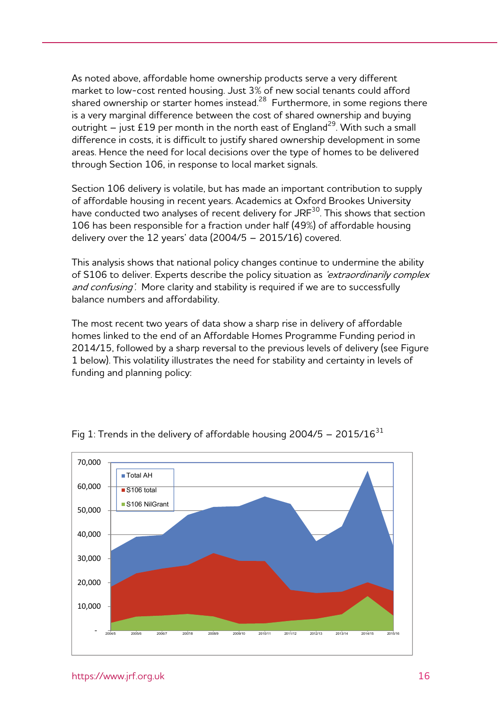As noted above, affordable home ownership products serve a very different market to low-cost rented housing. Just 3% of new social tenants could afford shared ownership or starter homes instead.<sup>28</sup> Furthermore, in some regions there is a very marginal difference between the cost of shared ownership and buying outright – just £19 per month in the north east of England<sup>29</sup>. With such a small difference in costs, it is difficult to justify shared ownership development in some areas. Hence the need for local decisions over the type of homes to be delivered through Section 106, in response to local market signals.

Section 106 delivery is volatile, but has made an important contribution to supply of affordable housing in recent years. Academics at Oxford Brookes University have conducted two analyses of recent delivery for JRF<sup>30</sup>. This shows that section 106 has been responsible for a fraction under half (49%) of affordable housing delivery over the  $12$  years' data  $(2004/5 - 2015/16)$  covered.

This analysis shows that national policy changes continue to undermine the ability of S106 to deliver. Experts describe the policy situation as 'extraordinarily complex and confusing'. More clarity and stability is required if we are to successfully balance numbers and affordability.

The most recent two years of data show a sharp rise in delivery of affordable homes linked to the end of an Affordable Homes Programme Funding period in 2014/15, followed by a sharp reversal to the previous levels of delivery (see Figure 1 below). This volatility illustrates the need for stability and certainty in levels of funding and planning policy:



Fig 1: Trends in the delivery of affordable housing  $2004/5 - 2015/16^{31}$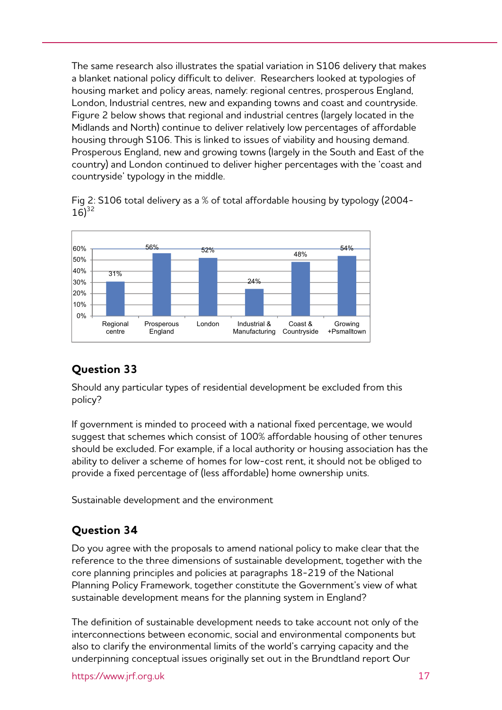The same research also illustrates the spatial variation in S106 delivery that makes a blanket national policy difficult to deliver. Researchers looked at typologies of housing market and policy areas, namely: regional centres, prosperous England, London, Industrial centres, new and expanding towns and coast and countryside. Figure 2 below shows that regional and industrial centres (largely located in the Midlands and North) continue to deliver relatively low percentages of affordable housing through S106. This is linked to issues of viability and housing demand. Prosperous England, new and growing towns (largely in the South and East of the country) and London continued to deliver higher percentages with the 'coast and countryside' typology in the middle.

Fig 2: S106 total delivery as a % of total affordable housing by typology (2004-  $16)^{32}$ 



### **Question 33**

Should any particular types of residential development be excluded from this policy?

If government is minded to proceed with a national fixed percentage, we would suggest that schemes which consist of 100% affordable housing of other tenures should be excluded. For example, if a local authority or housing association has the ability to deliver a scheme of homes for low-cost rent, it should not be obliged to provide a fixed percentage of (less affordable) home ownership units.

Sustainable development and the environment

## **Question 34**

Do you agree with the proposals to amend national policy to make clear that the reference to the three dimensions of sustainable development, together with the core planning principles and policies at paragraphs 18-219 of the National Planning Policy Framework, together constitute the Government's view of what sustainable development means for the planning system in England?

The definition of sustainable development needs to take account not only of the interconnections between economic, social and environmental components but also to clarify the environmental limits of the world's carrying capacity and the underpinning conceptual issues originally set out in the Brundtland report Our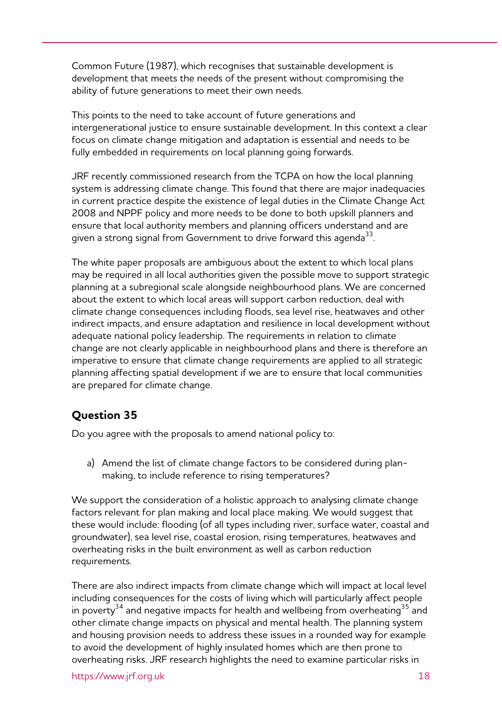Common Future (1987), which recognises that sustainable development is development that meets the needs of the present without compromising the ability of future generations to meet their own needs.

This points to the need to take account of future generations and intergenerational justice to ensure sustainable development. In this context a clear focus on climate change mitigation and adaptation is essential and needs to be fully embedded in requirements on local planning going forwards.

JRF recently commissioned research from the TCPA on how the local planning system is addressing climate change. This found that there are major inadequacies in current practice despite the existence of legal duties in the Climate Change Act 2008 and NPPF policy and more needs to be done to both upskill planners and ensure that local authority members and planning officers understand and are given a strong signal from Government to drive forward this agenda<sup>33</sup>.

The white paper proposals are ambiguous about the extent to which local plans may be required in all local authorities given the possible move to support strategic planning at a subregional scale alongside neighbourhood plans. We are concerned about the extent to which local areas will support carbon reduction, deal with climate change consequences including floods, sea level rise, heatwaves and other indirect impacts, and ensure adaptation and resilience in local development without adequate national policy leadership. The requirements in relation to climate change are not clearly applicable in neighbourhood plans and there is therefore an imperative to ensure that climate change requirements are applied to all strategic planning affecting spatial development if we are to ensure that local communities are prepared for climate change.

### **Question 35**

Do you agree with the proposals to amend national policy to:

a) Amend the list of climate change factors to be considered during planmaking, to include reference to rising temperatures?

We support the consideration of a holistic approach to analysing climate change factors relevant for plan making and local place making. We would suggest that these would include: flooding (of all types including river, surface water, coastal and groundwater), sea level rise, coastal erosion, rising temperatures, heatwaves and overheating risks in the built environment as well as carbon reduction requirements.

There are also indirect impacts from climate change which will impact at local level including consequences for the costs of living which will particularly affect people in poverty<sup>34</sup> and negative impacts for health and wellbeing from overheating<sup>35</sup> and other climate change impacts on physical and mental health. The planning system and housing provision needs to address these issues in a rounded way for example to avoid the development of highly insulated homes which are then prone to overheating risks. JRF research highlights the need to examine particular risks in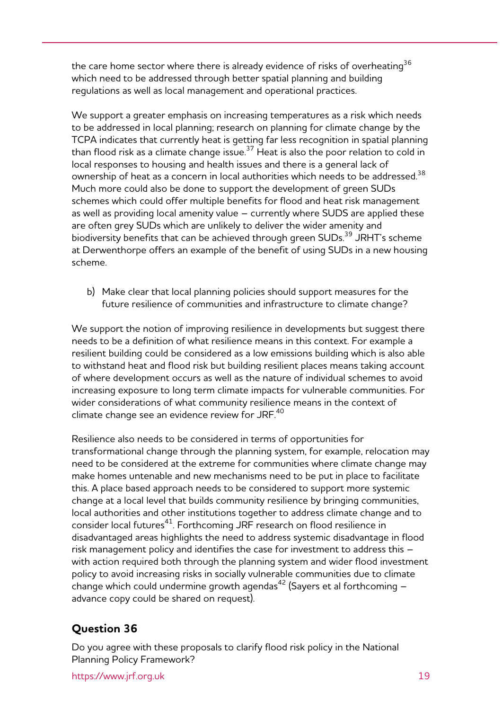the care home sector where there is already evidence of risks of overheating<sup>36</sup> which need to be addressed through better spatial planning and building regulations as well as local management and operational practices.

We support a greater emphasis on increasing temperatures as a risk which needs to be addressed in local planning; research on planning for climate change by the TCPA indicates that currently heat is getting far less recognition in spatial planning than flood risk as a climate change issue.37 Heat is also the poor relation to cold in local responses to housing and health issues and there is a general lack of ownership of heat as a concern in local authorities which needs to be addressed.<sup>38</sup> Much more could also be done to support the development of green SUDs schemes which could offer multiple benefits for flood and heat risk management as well as providing local amenity value – currently where SUDS are applied these are often grey SUDs which are unlikely to deliver the wider amenity and biodiversity benefits that can be achieved through green SUDs.<sup>39</sup> JRHT's scheme at Derwenthorpe offers an example of the benefit of using SUDs in a new housing scheme.

b) Make clear that local planning policies should support measures for the future resilience of communities and infrastructure to climate change?

We support the notion of improving resilience in developments but suggest there needs to be a definition of what resilience means in this context. For example a resilient building could be considered as a low emissions building which is also able to withstand heat and flood risk but building resilient places means taking account of where development occurs as well as the nature of individual schemes to avoid increasing exposure to long term climate impacts for vulnerable communities. For wider considerations of what community resilience means in the context of climate change see an evidence review for JRF.<sup>40</sup>

Resilience also needs to be considered in terms of opportunities for transformational change through the planning system, for example, relocation may need to be considered at the extreme for communities where climate change may make homes untenable and new mechanisms need to be put in place to facilitate this. A place based approach needs to be considered to support more systemic change at a local level that builds community resilience by bringing communities, local authorities and other institutions together to address climate change and to consider local futures<sup>41</sup>. Forthcoming JRF research on flood resilience in disadvantaged areas highlights the need to address systemic disadvantage in flood risk management policy and identifies the case for investment to address this – with action required both through the planning system and wider flood investment policy to avoid increasing risks in socially vulnerable communities due to climate change which could undermine growth agendas<sup>42</sup> (Sayers et al forthcoming  $$ advance copy could be shared on request).

#### **Question 36**

Do you agree with these proposals to clarify flood risk policy in the National Planning Policy Framework?

https://www.jrf.org.uk 19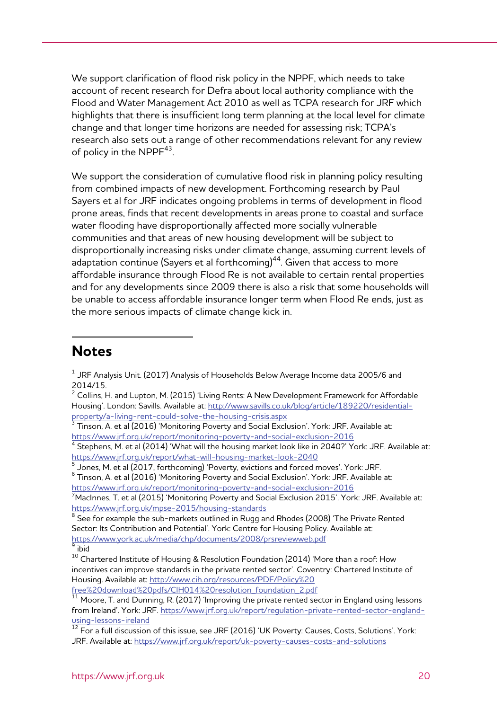We support clarification of flood risk policy in the NPPF, which needs to take account of recent research for Defra about local authority compliance with the Flood and Water Management Act 2010 as well as TCPA research for JRF which highlights that there is insufficient long term planning at the local level for climate change and that longer time horizons are needed for assessing risk; TCPA's research also sets out a range of other recommendations relevant for any review of policy in the NPPF<sup>43</sup>.

We support the consideration of cumulative flood risk in planning policy resulting from combined impacts of new development. Forthcoming research by Paul Sayers et al for JRF indicates ongoing problems in terms of development in flood prone areas, finds that recent developments in areas prone to coastal and surface water flooding have disproportionally affected more socially vulnerable communities and that areas of new housing development will be subject to disproportionally increasing risks under climate change, assuming current levels of adaptation continue (Sayers et al forthcoming) $44$ . Given that access to more affordable insurance through Flood Re is not available to certain rental properties and for any developments since 2009 there is also a risk that some households will be unable to access affordable insurance longer term when Flood Re ends, just as the more serious impacts of climate change kick in.

## **Notes**

-

<u>https://www.jrf.org.uk/report/monitoring-poverty-and-social-exclusion-2016</u><br><sup>7</sup>MacInnes, T. et al (2015) 'Monitoring Poverty and Social Exclusion 2015'. York: JRF. Available at: https://www.jrf.org.uk/mpse-2015/housing-standards

 $^8$  See for example the sub-markets outlined in Rugg and Rhodes (2008) 'The Private Rented Sector: Its Contribution and Potential'. York: Centre for Housing Policy. Available at: https://www.york.ac.uk/media/chp/documents/2008/prsreviewweb.pdf 9  $\overline{9}$ ibid

 $10^{10}$  Chartered Institute of Housing & Resolution Foundation (2014) 'More than a roof: How incentives can improve standards in the private rented sector'. Coventry: Chartered Institute of Housing. Available at: http://www.cih.org/resources/PDF/Policy%20

 $^{\rm 1}$  JRF Analysis Unit. (2017) Analysis of Households Below Average Income data 2005/6 and 2014/15.

 $2$  Collins, H. and Lupton, M. (2015) 'Living Rents: A New Development Framework for Affordable Housing'. London: Savills. Available at: http://www.savills.co.uk/blog/article/189220/residentialproperty/a-living-rent-could-solve-the-housing-crisis.aspx

Tinson, A. et al (2016) 'Monitoring Poverty and Social Exclusion'. York: JRF. Available at: https://www.jrf.org.uk/report/monitoring-poverty-and-social-exclusion-2016

 $4$  Stephens, M. et al (2014) 'What will the housing market look like in 2040?' York: JRF. Available at: https://www.jrf.org.uk/report/what-will-housing-market-look-2040 5

 $<sup>5</sup>$  Jones, M. et al (2017, forthcoming) 'Poverty, evictions and forced moves'. York: JRF.</sup>

 $^6$  Tinson, A. et al (2016) 'Monitoring Poverty and Social Exclusion'. York: JRF. Available at:

free%20download%20pdfs/CIH014%20resolution\_foundation\_2.pdf 11 Moore, T. and Dunning, R. (2017) 'Improving the private rented sector in England using lessons from Ireland'. York: JRF. https://www.jrf.org.uk/report/regulation-private-rented-sector-england-<u>using-lessons-ireland</u><br> $\frac{12}{12}$  For a full discussion of this issue, see JRF (2016) 'UK Poverty: Causes, Costs, Solutions'. York:

JRF. Available at: https://www.jrf.org.uk/report/uk-poverty-causes-costs-and-solutions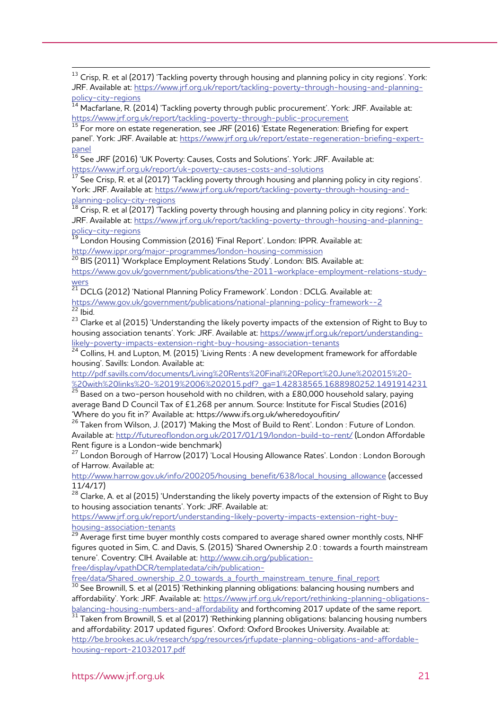<sup>13</sup> Crisp, R. et al (2017) 'Tackling poverty through housing and planning policy in city regions'. York: JRF. Available at: https://www.jrf.org.uk/report/tackling-poverty-through-housing-and-planningpolicy-city-regions<br><sup>14</sup> Macfarlane, R. (2014) 'Tackling poverty through public procurement'. York: JRF. Available at:

https://www.jrf.org.uk/report/tackling-poverty-through-public-procurement 15 For more on estate regeneration, see JRF (2016) 'Estate Regeneration: Briefing for expert

panel'. York: JRF. Available at: https://www.jrf.org.uk/report/estate-regeneration-briefing-expert-

<u>panel</u><br> $\frac{16}{16}$  See JRF (2016) 'UK Poverty: Causes, Costs and Solutions'. York: JRF. Available at:

https://www.jrf.org.uk/report/uk-poverty-causes-costs-and-solutions<br><sup>17</sup> See Crisp, R. et al (2017) 'Tackling poverty through housing and planning policy in city regions'. York: JRF. Available at: https://www.jrf.org.uk/report/tackling-poverty-through-housing-and-<br>planning-policy-city-regions<br> $\frac{18}{18}$ 

Crisp, R. et al (2017) 'Tackling poverty through housing and planning policy in city regions'. York: JRF. Available at: https://www.jrf.org.uk/report/tackling-poverty-through-housing-and-planningpolicy-city-regions

 $^{19}$  London Housing Commission (2016) 'Final Report'. London: IPPR. Available at: http://www.ippr.org/major-programmes/london-housing-commission<br><sup>20</sup> BIS (2011) 'Workplace Employment Relations Study'. London: BIS. Available at:

https://www.gov.uk/government/publications/the-2011-workplace-employment-relations-studywers<br><sup>21</sup> DCLG (2012) 'National Planning Policy Framework'. London : DCLG. Available at:

https://www.gov.uk/government/publications/national-planning-policy-framework--2<br><sup>22</sup> Ibid.

<sup>23</sup> Clarke et al (2015) 'Understanding the likely poverty impacts of the extension of Right to Buy to housing association tenants'. York: JRF. Available at: https://www.jrf.org.uk/report/understandinglikely-poverty-impacts-extension-right-buy-housing-association-tenants 24 Collins, H. and Lupton, M. (2015) 'Living Rents : A new development framework for affordable

housing'. Savills: London. Available at:

http://pdf.savills.com/documents/Living%20Rents%20Final%20Report%20June%202015%20 with%20links%20-%2019%2006%202015.pdf?\_ga=1.42838565.1688980252.1491914231 25 Based on a two-person household with no children, with a £80,000 household salary, paying

average Band D Council Tax of £1,268 per annum. Source: Institute for Fiscal Studies (2016) 'Where do you fit in?' Available at: https://www.ifs.org.uk/wheredoyoufitin/

<sup>26</sup> Taken from Wilson, J. (2017) 'Making the Most of Build to Rent'. London : Future of London. Available at: http://futureoflondon.org.uk/2017/01/19/london-build-to-rent/ (London Affordable Rent figure is a London-wide benchmark)

<sup>27</sup> London Borough of Harrow (2017) 'Local Housing Allowance Rates'. London : London Borough of Harrow. Available at:

http://www.harrow.gov.uk/info/200205/housing\_benefit/638/local\_housing\_allowance (accessed 11/4/17)

 $^{28}$  Clarke, A. et al (2015) 'Understanding the likely poverty impacts of the extension of Right to Buy to housing association tenants'. York: JRF. Available at:

https://www.jrf.org.uk/report/understanding-likely-poverty-impacts-extension-right-buyhousing-association-tenants

 $\frac{29}{29}$  Average first time buyer monthly costs compared to average shared owner monthly costs, NHF figures quoted in Sim, C. and Davis, S. (2015) 'Shared Ownership 2.0 : towards a fourth mainstream tenure'. Coventry: CIH. Available at: http://www.cih.org/publicationfree/display/vpathDCR/templatedata/cih/publication-

free/data/Shared\_ownership\_2.0\_towards\_a\_fourth\_mainstream\_tenure\_final\_report <sup>30</sup> See Brownill, S. et al (2015) 'Rethinking planning obligations: balancing housing numbers and affordability'. York: JRF. Available at: https://www.jrf.org.uk/report/rethinking-planning-obligationsbalancing-housing-numbers-and-affordability and forthcoming 2017 update of the same report.

 $31$  Taken from Brownill, S. et al (2017) 'Rethinking planning obligations: balancing housing numbers and affordability: 2017 updated figures'. Oxford: Oxford Brookes University. Available at: http://be.brookes.ac.uk/research/spg/resources/jrfupdate-planning-obligations-and-affordable-

housing-report-21032017.pdf